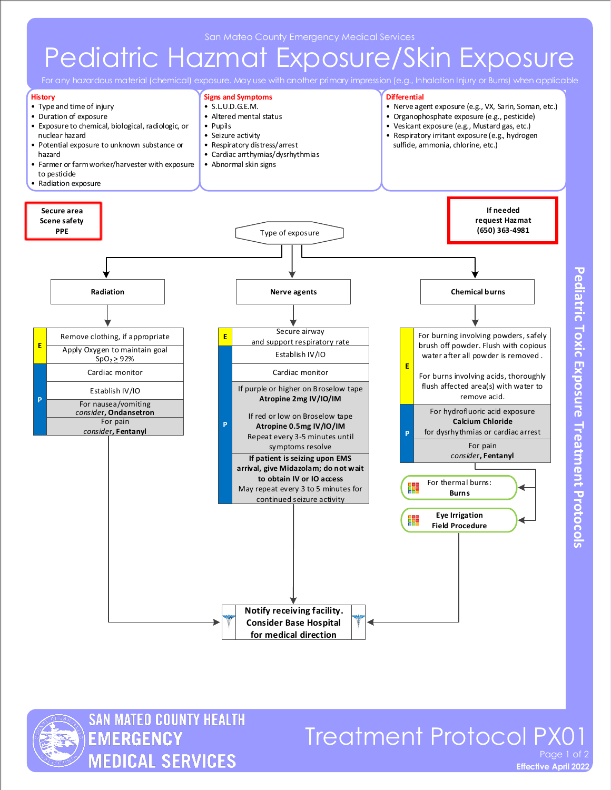## Pediatric Hazmat Exposure/Skin Exposure

For any hazardous material (chemical) exposure. May use with another primary impression (e.g., Inhalation Injury or Burns) when applicable





## Treatment Protocol PX01 Page 1 of 2

**Effective April 2022**